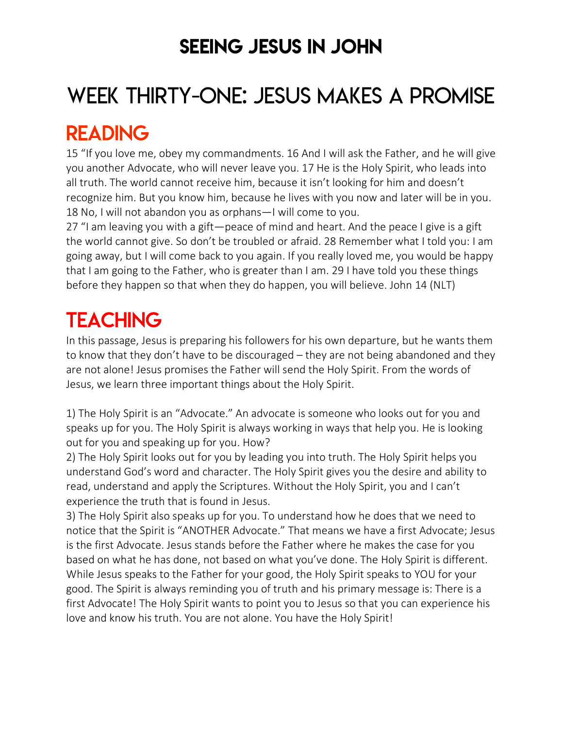### SEEING JESUS IN JOHN

# WEEK THIRTY-ONE: JESUS MAKES A PROMISE

### READING

15 "If you love me, obey my commandments. 16 And I will ask the Father, and he will give you another Advocate, who will never leave you. 17 He is the Holy Spirit, who leads into all truth. The world cannot receive him, because it isn't looking for him and doesn't recognize him. But you know him, because he lives with you now and later will be in you. 18 No, I will not abandon you as orphans—I will come to you.

27 "I am leaving you with a gift—peace of mind and heart. And the peace I give is a gift the world cannot give. So don't be troubled or afraid. 28 Remember what I told you: I am going away, but I will come back to you again. If you really loved me, you would be happy that I am going to the Father, who is greater than I am. 29 I have told you these things before they happen so that when they do happen, you will believe. John 14 (NLT)

# **TEACHING**

In this passage, Jesus is preparing his followers for his own departure, but he wants them to know that they don't have to be discouraged – they are not being abandoned and they are not alone! Jesus promises the Father will send the Holy Spirit. From the words of Jesus, we learn three important things about the Holy Spirit.

1) The Holy Spirit is an "Advocate." An advocate is someone who looks out for you and speaks up for you. The Holy Spirit is always working in ways that help you. He is looking out for you and speaking up for you. How?

2) The Holy Spirit looks out for you by leading you into truth. The Holy Spirit helps you understand God's word and character. The Holy Spirit gives you the desire and ability to read, understand and apply the Scriptures. Without the Holy Spirit, you and I can't experience the truth that is found in Jesus.

3) The Holy Spirit also speaks up for you. To understand how he does that we need to notice that the Spirit is "ANOTHER Advocate." That means we have a first Advocate; Jesus is the first Advocate. Jesus stands before the Father where he makes the case for you based on what he has done, not based on what you've done. The Holy Spirit is different. While Jesus speaks to the Father for your good, the Holy Spirit speaks to YOU for your good. The Spirit is always reminding you of truth and his primary message is: There is a first Advocate! The Holy Spirit wants to point you to Jesus so that you can experience his love and know his truth. You are not alone. You have the Holy Spirit!